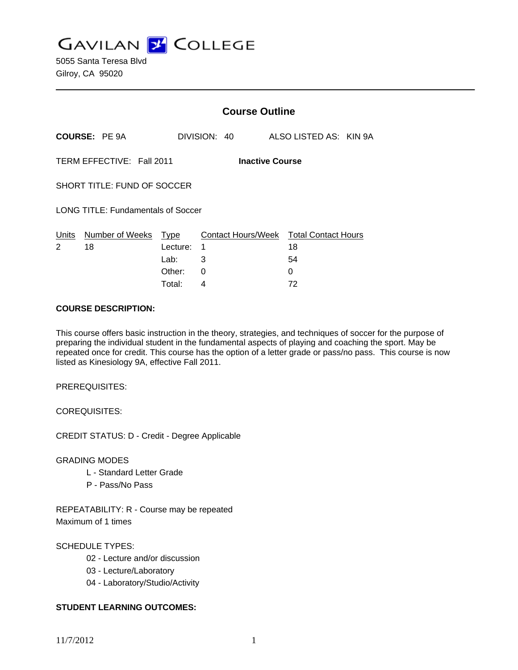**GAVILAN Z COLLEGE** 

|                                                     |                            |          | <b>Course Outline</b> |                                              |  |  |
|-----------------------------------------------------|----------------------------|----------|-----------------------|----------------------------------------------|--|--|
|                                                     | <b>COURSE: PE 9A</b>       |          | DIVISION: 40          | ALSO LISTED AS: KIN 9A                       |  |  |
| TERM EFFECTIVE: Fall 2011<br><b>Inactive Course</b> |                            |          |                       |                                              |  |  |
| SHORT TITLE: FUND OF SOCCER                         |                            |          |                       |                                              |  |  |
| <b>LONG TITLE: Fundamentals of Soccer</b>           |                            |          |                       |                                              |  |  |
| Units<br>2                                          | Number of Weeks Type<br>18 | Lecture: | 1                     | Contact Hours/Week Total Contact Hours<br>18 |  |  |
|                                                     |                            | Lab:     | 3                     | 54                                           |  |  |
|                                                     |                            | Other:   | 0                     | 0                                            |  |  |
|                                                     |                            | Total:   | 4                     | 72                                           |  |  |

#### **COURSE DESCRIPTION:**

This course offers basic instruction in the theory, strategies, and techniques of soccer for the purpose of preparing the individual student in the fundamental aspects of playing and coaching the sport. May be repeated once for credit. This course has the option of a letter grade or pass/no pass. This course is now listed as Kinesiology 9A, effective Fall 2011.

PREREQUISITES:

COREQUISITES:

CREDIT STATUS: D - Credit - Degree Applicable

GRADING MODES

- L Standard Letter Grade
- P Pass/No Pass

REPEATABILITY: R - Course may be repeated Maximum of 1 times

## SCHEDULE TYPES:

- 02 Lecture and/or discussion
- 03 Lecture/Laboratory
- 04 Laboratory/Studio/Activity

## **STUDENT LEARNING OUTCOMES:**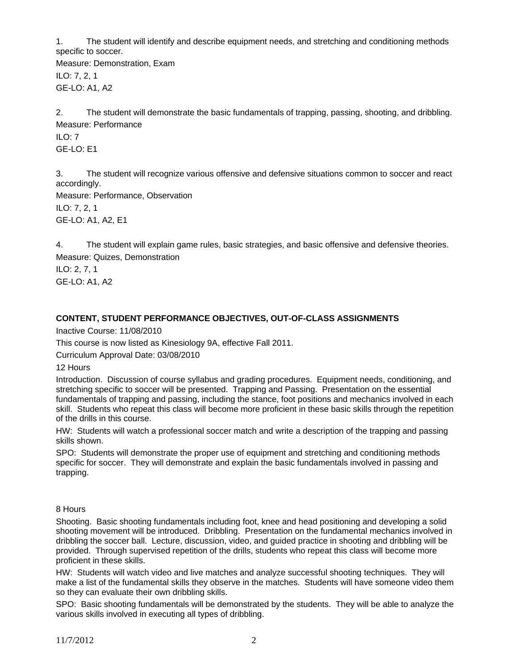1. The student will identify and describe equipment needs, and stretching and conditioning methods specific to soccer.

Measure: Demonstration, Exam ILO: 7, 2, 1 GE-LO: A1, A2

2. The student will demonstrate the basic fundamentals of trapping, passing, shooting, and dribbling. Measure: Performance

ILO: 7 GE-LO: E1

3. The student will recognize various offensive and defensive situations common to soccer and react accordingly.

Measure: Performance, Observation ILO: 7, 2, 1 GE-LO: A1, A2, E1

4. The student will explain game rules, basic strategies, and basic offensive and defensive theories. Measure: Quizes, Demonstration

ILO: 2, 7, 1 GE-LO: A1, A2

# **CONTENT, STUDENT PERFORMANCE OBJECTIVES, OUT-OF-CLASS ASSIGNMENTS**

Inactive Course: 11/08/2010

This course is now listed as Kinesiology 9A, effective Fall 2011.

Curriculum Approval Date: 03/08/2010

12 Hours

Introduction. Discussion of course syllabus and grading procedures. Equipment needs, conditioning, and stretching specific to soccer will be presented. Trapping and Passing. Presentation on the essential fundamentals of trapping and passing, including the stance, foot positions and mechanics involved in each skill. Students who repeat this class will become more proficient in these basic skills through the repetition of the drills in this course.

HW: Students will watch a professional soccer match and write a description of the trapping and passing skills shown.

SPO: Students will demonstrate the proper use of equipment and stretching and conditioning methods specific for soccer. They will demonstrate and explain the basic fundamentals involved in passing and trapping.

## 8 Hours

Shooting. Basic shooting fundamentals including foot, knee and head positioning and developing a solid shooting movement will be introduced. Dribbling. Presentation on the fundamental mechanics involved in dribbling the soccer ball. Lecture, discussion, video, and guided practice in shooting and dribbling will be provided. Through supervised repetition of the drills, students who repeat this class will become more proficient in these skills.

HW: Students will watch video and live matches and analyze successful shooting techniques. They will make a list of the fundamental skills they observe in the matches. Students will have someone video them so they can evaluate their own dribbling skills.

SPO: Basic shooting fundamentals will be demonstrated by the students. They will be able to analyze the various skills involved in executing all types of dribbling.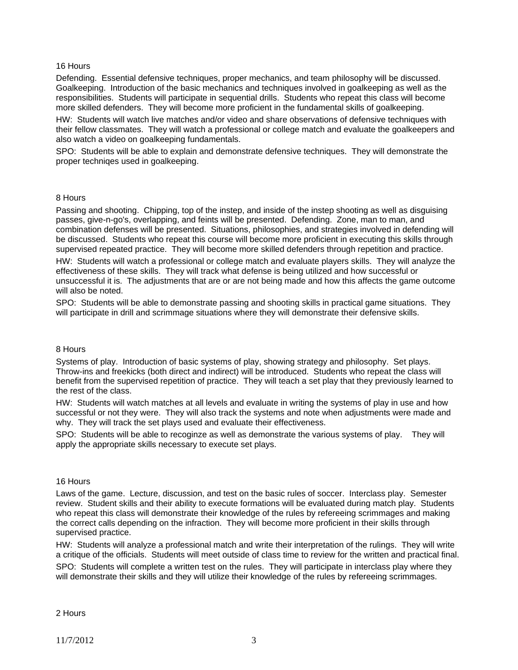#### 16 Hours

Defending. Essential defensive techniques, proper mechanics, and team philosophy will be discussed. Goalkeeping. Introduction of the basic mechanics and techniques involved in goalkeeping as well as the responsibilities. Students will participate in sequential drills. Students who repeat this class will become more skilled defenders. They will become more proficient in the fundamental skills of goalkeeping.

HW: Students will watch live matches and/or video and share observations of defensive techniques with their fellow classmates. They will watch a professional or college match and evaluate the goalkeepers and also watch a video on goalkeeping fundamentals.

SPO: Students will be able to explain and demonstrate defensive techniques. They will demonstrate the proper techniqes used in goalkeeping.

#### 8 Hours

Passing and shooting. Chipping, top of the instep, and inside of the instep shooting as well as disguising passes, give-n-go's, overlapping, and feints will be presented. Defending. Zone, man to man, and combination defenses will be presented. Situations, philosophies, and strategies involved in defending will be discussed. Students who repeat this course will become more proficient in executing this skills through supervised repeated practice. They will become more skilled defenders through repetition and practice.

HW: Students will watch a professional or college match and evaluate players skills. They will analyze the effectiveness of these skills. They will track what defense is being utilized and how successful or unsuccessful it is. The adjustments that are or are not being made and how this affects the game outcome will also be noted.

SPO: Students will be able to demonstrate passing and shooting skills in practical game situations. They will participate in drill and scrimmage situations where they will demonstrate their defensive skills.

#### 8 Hours

Systems of play. Introduction of basic systems of play, showing strategy and philosophy. Set plays. Throw-ins and freekicks (both direct and indirect) will be introduced. Students who repeat the class will benefit from the supervised repetition of practice. They will teach a set play that they previously learned to the rest of the class.

HW: Students will watch matches at all levels and evaluate in writing the systems of play in use and how successful or not they were. They will also track the systems and note when adjustments were made and why. They will track the set plays used and evaluate their effectiveness.

SPO: Students will be able to recoginze as well as demonstrate the various systems of play. They will apply the appropriate skills necessary to execute set plays.

#### 16 Hours

Laws of the game. Lecture, discussion, and test on the basic rules of soccer. Interclass play. Semester review. Student skills and their ability to execute formations will be evaluated during match play. Students who repeat this class will demonstrate their knowledge of the rules by refereeing scrimmages and making the correct calls depending on the infraction. They will become more proficient in their skills through supervised practice.

HW: Students will analyze a professional match and write their interpretation of the rulings. They will write a critique of the officials. Students will meet outside of class time to review for the written and practical final. SPO: Students will complete a written test on the rules. They will participate in interclass play where they will demonstrate their skills and they will utilize their knowledge of the rules by refereeing scrimmages.

2 Hours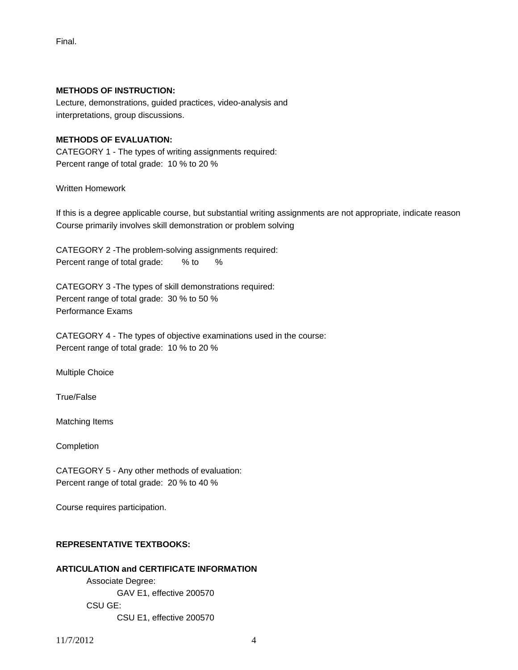Final.

### **METHODS OF INSTRUCTION:**

Lecture, demonstrations, guided practices, video-analysis and interpretations, group discussions.

## **METHODS OF EVALUATION:**

CATEGORY 1 - The types of writing assignments required: Percent range of total grade: 10 % to 20 %

Written Homework

If this is a degree applicable course, but substantial writing assignments are not appropriate, indicate reason Course primarily involves skill demonstration or problem solving

CATEGORY 2 -The problem-solving assignments required: Percent range of total grade: % to %

CATEGORY 3 -The types of skill demonstrations required: Percent range of total grade: 30 % to 50 % Performance Exams

CATEGORY 4 - The types of objective examinations used in the course: Percent range of total grade: 10 % to 20 %

Multiple Choice

True/False

Matching Items

Completion

CATEGORY 5 - Any other methods of evaluation: Percent range of total grade: 20 % to 40 %

Course requires participation.

## **REPRESENTATIVE TEXTBOOKS:**

## **ARTICULATION and CERTIFICATE INFORMATION**

 Associate Degree: GAV E1, effective 200570 CSU GE: CSU E1, effective 200570

11/7/2012 4